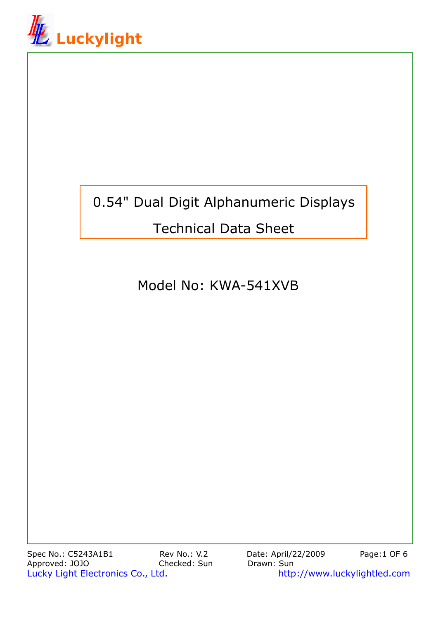

# 0.54" Dual Digit Alphanumeric Displays

## Technical Data Sheet

Model No: KWA-541XVB

Spec No.: C5243A1B1 Rev No.: V.2 Date: April/22/2009 Page:1 OF 6 Approved: JOJO Checked: Sun Drawn: Sun Lucky Light Electronics Co., Ltd. http://www.luckylightled.com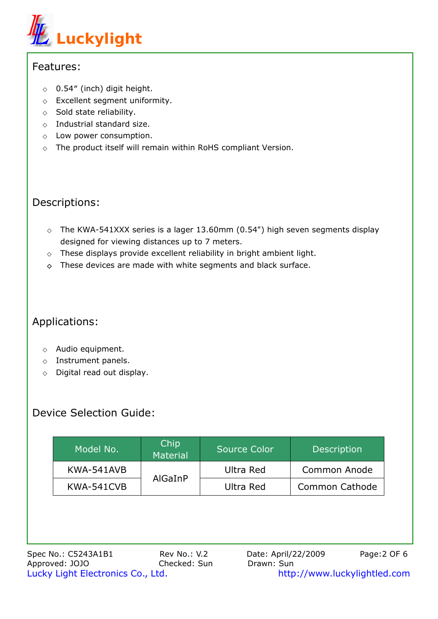

#### Features:

0.54″ (inch) digit height. Excellent segment uniformity. Sold state reliability. Industrial standard size. Low power consumption. The product itself will remain within RoHS compliant Version.

## Descriptions:

The KWA-541XXX series is a lager 13.60mm (0.54") high seven segments display designed for viewing distances up to 7 meters.

These displays provide excellent reliability in bright ambient light. These devices are made with white segments and black surface.

## Applications:

Audio equipment. Instrument panels. Digital read out display.

## Device Selection Guide:

| Model No.  | Chip<br>Material | <b>Source Color</b> | <b>Description</b>    |  |
|------------|------------------|---------------------|-----------------------|--|
| KWA-541AVB |                  | Ultra Red           | <b>Common Anode</b>   |  |
| KWA-541CVB | AlGaInP          | Ultra Red           | <b>Common Cathode</b> |  |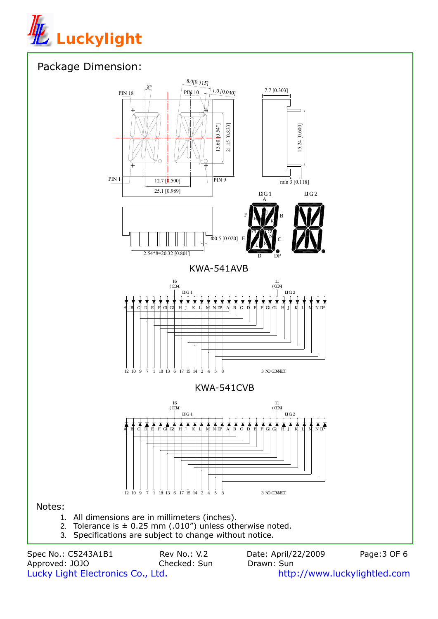

## Package Dimension:



Spec No.: C5243A1B1 Rev No.: V.2 Date: April/22/2009 Page:3 OF 6<br>Approved: JOJO Checked: Sun Drawn: Sun Approved: JOJO Checked: Sun Drawn: Sun Lucky Light Electronics Co., Ltd. http://www.luckylightled.com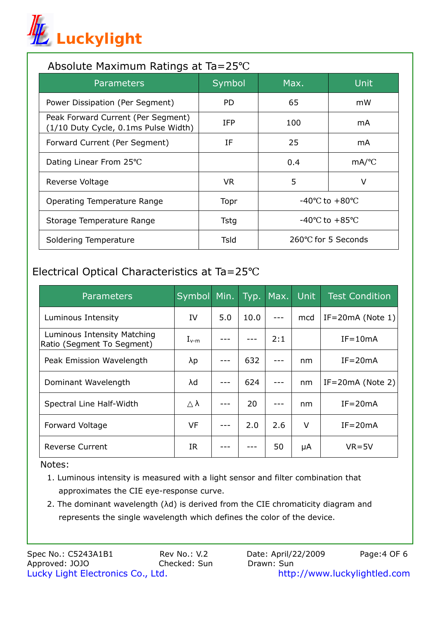

#### Absolute Maximum Ratings at Ta=25

| Parameters                                                                 | Symbol      | Max.                 | Unit |
|----------------------------------------------------------------------------|-------------|----------------------|------|
| Power Dissipation (Per Segment)                                            | <b>PD</b>   | 65                   | mW   |
| Peak Forward Current (Per Segment)<br>(1/10 Duty Cycle, 0.1ms Pulse Width) | <b>IFP</b>  | 100                  | mA   |
| Forward Current (Per Segment)                                              | IF          | 25                   | mA   |
| Dating Linear From 25                                                      |             | 0.4                  | mA/  |
| Reverse Voltage                                                            | VR.         | 5                    | v    |
| Operating Temperature Range                                                | Topr        | -40<br>to $+80$      |      |
| Storage Temperature Range                                                  | <b>Tstg</b> | -40<br>to $+85$      |      |
| Soldering Temperature                                                      | Tsld        | for 5 Seconds<br>260 |      |

## Electrical Optical Characteristics at Ta=25

| <b>Parameters</b>                                         | Symbol        | Min. | Typ. | Max. | <b>Unit</b> | <b>Test Condition</b> |
|-----------------------------------------------------------|---------------|------|------|------|-------------|-----------------------|
| Luminous Intensity                                        | IV            | 5.0  | 10.0 |      | mcd         | IF=20 $mA$ (Note 1)   |
| Luminous Intensity Matching<br>Ratio (Segment To Segment) | $I_{\sf v-m}$ |      |      | 2:1  |             | $IF = 10mA$           |
| Peak Emission Wavelength                                  | λp            |      | 632  |      | nm          | $IF = 20mA$           |
| Dominant Wavelength                                       | λd            |      | 624  |      | nm          | $IF = 20mA$ (Note 2)  |
| Spectral Line Half-Width                                  | λ             |      | 20   |      | nm          | $IF = 20mA$           |
| Forward Voltage                                           | VF            |      | 2.0  | 2.6  | V           | $IF = 20mA$           |
| Reverse Current                                           | <b>IR</b>     |      |      | 50   | μA          | $VR = 5V$             |

Notes:

- 1. Luminous intensity is measured with a light sensor and filter combination that approximates the CIE eye-response curve.
- 2. The dominant wavelength (λd) is derived from the CIE chromaticity diagram and represents the single wavelength which defines the color of the device.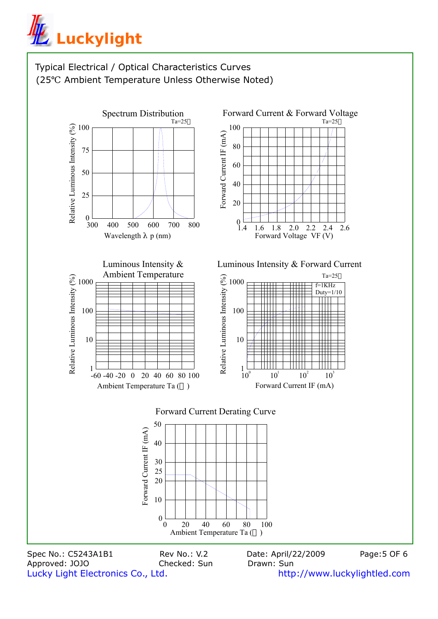



Approved: JOJO Checked: Sun Drawn: Sun

Lucky Light Electronics Co., Ltd. http://www.luckylightled.com